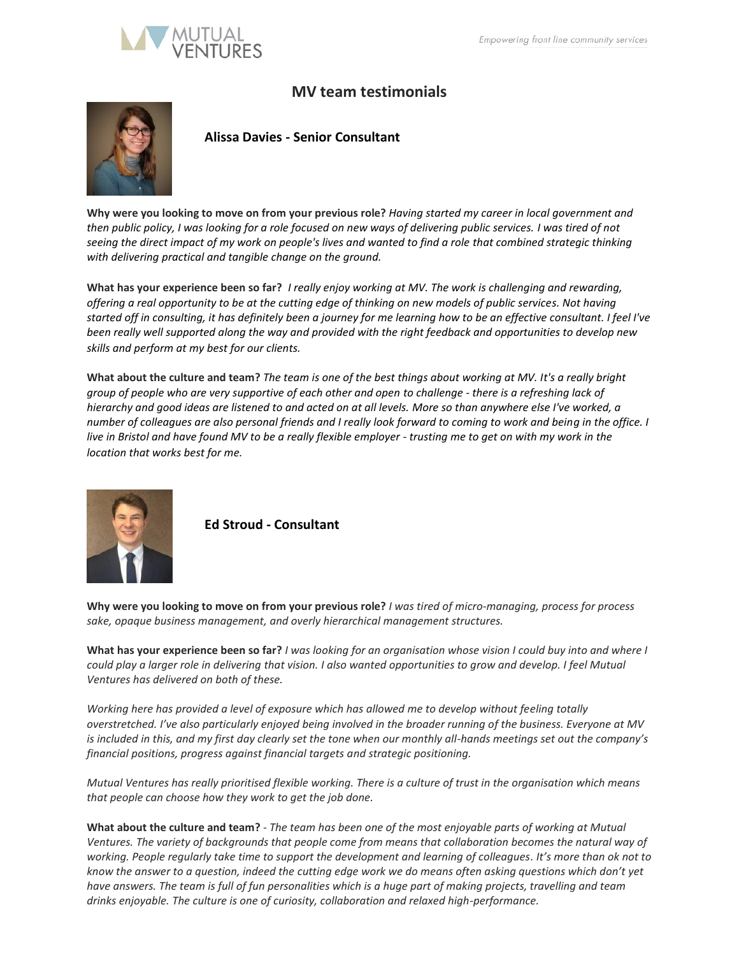

## **MV team testimonials**



## **Alissa Davies - Senior Consultant**

**Why were you looking to move on from your previous role?** *Having started my career in local government and then public policy, I was looking for a role focused on new ways of delivering public services. I was tired of not seeing the direct impact of my work on people's lives and wanted to find a role that combined strategic thinking with delivering practical and tangible change on the ground.*

**What has your experience been so far?** *I really enjoy working at MV. The work is challenging and rewarding, offering a real opportunity to be at the cutting edge of thinking on new models of public services. Not having started off in consulting, it has definitely been a journey for me learning how to be an effective consultant. I feel I've been really well supported along the way and provided with the right feedback and opportunities to develop new skills and perform at my best for our clients.*

**What about the culture and team?** *The team is one of the best things about working at MV. It's a really bright group of people who are very supportive of each other and open to challenge - there is a refreshing lack of hierarchy and good ideas are listened to and acted on at all levels. More so than anywhere else I've worked, a number of colleagues are also personal friends and I really look forward to coming to work and being in the office. I live in Bristol and have found MV to be a really flexible employer - trusting me to get on with my work in the location that works best for me.*



**Ed Stroud - Consultant**

**Why were you looking to move on from your previous role?** *I was tired of micro-managing, process for process sake, opaque business management, and overly hierarchical management structures.*

**What has your experience been so far?** *I was looking for an organisation whose vision I could buy into and where I could play a larger role in delivering that vision. I also wanted opportunities to grow and develop. I feel Mutual Ventures has delivered on both of these.* 

*Working here has provided a level of exposure which has allowed me to develop without feeling totally overstretched. I've also particularly enjoyed being involved in the broader running of the business. Everyone at MV is included in this, and my first day clearly set the tone when our monthly all-hands meetings set out the company's financial positions, progress against financial targets and strategic positioning.* 

*Mutual Ventures has really prioritised flexible working. There is a culture of trust in the organisation which means that people can choose how they work to get the job done.*

**What about the culture and team?** *- The team has been one of the most enjoyable parts of working at Mutual Ventures. The variety of backgrounds that people come from means that collaboration becomes the natural way of working. People regularly take time to support the development and learning of colleagues. It's more than ok not to know the answer to a question, indeed the cutting edge work we do means often asking questions which don't yet have answers. The team is full of fun personalities which is a huge part of making projects, travelling and team drinks enjoyable. The culture is one of curiosity, collaboration and relaxed high-performance.*